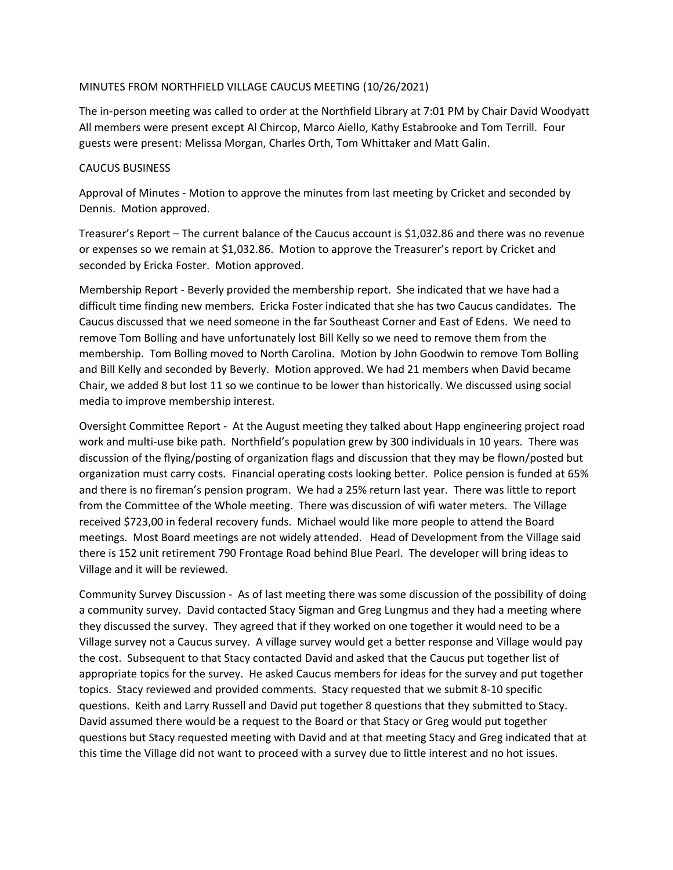## MINUTES FROM NORTHFIELD VILLAGE CAUCUS MEETING (10/26/2021)

The in-person meeting was called to order at the Northfield Library at 7:01 PM by Chair David Woodyatt All members were present except Al Chircop, Marco Aiello, Kathy Estabrooke and Tom Terrill. Four guests were present: Melissa Morgan, Charles Orth, Tom Whittaker and Matt Galin.

## CAUCUS BUSINESS

Approval of Minutes - Motion to approve the minutes from last meeting by Cricket and seconded by Dennis. Motion approved.

Treasurer's Report – The current balance of the Caucus account is \$1,032.86 and there was no revenue or expenses so we remain at \$1,032.86. Motion to approve the Treasurer's report by Cricket and seconded by Ericka Foster. Motion approved.

Membership Report - Beverly provided the membership report. She indicated that we have had a difficult time finding new members. Ericka Foster indicated that she has two Caucus candidates. The Caucus discussed that we need someone in the far Southeast Corner and East of Edens. We need to remove Tom Bolling and have unfortunately lost Bill Kelly so we need to remove them from the membership. Tom Bolling moved to North Carolina. Motion by John Goodwin to remove Tom Bolling and Bill Kelly and seconded by Beverly. Motion approved. We had 21 members when David became Chair, we added 8 but lost 11 so we continue to be lower than historically. We discussed using social media to improve membership interest.

Oversight Committee Report - At the August meeting they talked about Happ engineering project road work and multi-use bike path. Northfield's population grew by 300 individuals in 10 years. There was discussion of the flying/posting of organization flags and discussion that they may be flown/posted but organization must carry costs. Financial operating costs looking better. Police pension is funded at 65% and there is no fireman's pension program. We had a 25% return last year. There was little to report from the Committee of the Whole meeting. There was discussion of wifi water meters. The Village received \$723,00 in federal recovery funds. Michael would like more people to attend the Board meetings. Most Board meetings are not widely attended. Head of Development from the Village said there is 152 unit retirement 790 Frontage Road behind Blue Pearl. The developer will bring ideas to Village and it will be reviewed.

Community Survey Discussion - As of last meeting there was some discussion of the possibility of doing a community survey. David contacted Stacy Sigman and Greg Lungmus and they had a meeting where they discussed the survey. They agreed that if they worked on one together it would need to be a Village survey not a Caucus survey. A village survey would get a better response and Village would pay the cost. Subsequent to that Stacy contacted David and asked that the Caucus put together list of appropriate topics for the survey. He asked Caucus members for ideas for the survey and put together topics. Stacy reviewed and provided comments. Stacy requested that we submit 8-10 specific questions. Keith and Larry Russell and David put together 8 questions that they submitted to Stacy. David assumed there would be a request to the Board or that Stacy or Greg would put together questions but Stacy requested meeting with David and at that meeting Stacy and Greg indicated that at this time the Village did not want to proceed with a survey due to little interest and no hot issues.